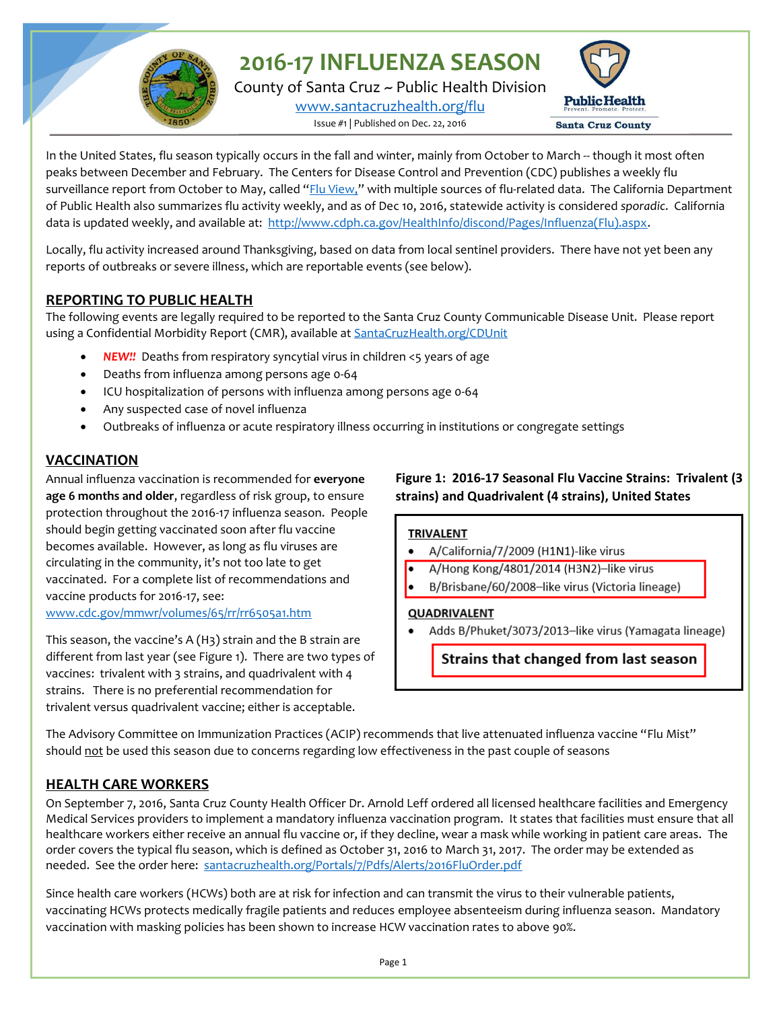**2016-17 INFLUENZA SEASON**

County of Santa Cruz ~ Public Health Division [www.santacruzhealth.org/flu](http://www.santacruzhealth.org/flu) Issue #1 | Published on Dec. 22, 2016



In the United States, flu season typically occurs in the fall and winter, mainly from October to March -- though it most often peaks between December and February. The Centers for Disease Control and Prevention (CDC) publishes a weekly flu surveillance report from October to May, called "[Flu View,](http://www.cdc.gov/flu/weekly/)" with multiple sources of flu-related data. The California Department of Public Health also summarizes flu activity weekly, and as of Dec 10, 2016, statewide activity is considered *sporadic*. California data is updated weekly, and available at: [http://www.cdph.ca.gov/HealthInfo/discond/Pages/Influenza\(Flu\).aspx.](http://www.cdph.ca.gov/HealthInfo/discond/Pages/Influenza(Flu).aspx)

Locally, flu activity increased around Thanksgiving, based on data from local sentinel providers. There have not yet been any reports of outbreaks or severe illness, which are reportable events (see below).

# **REPORTING TO PUBLIC HEALTH**

The following events are legally required to be reported to the Santa Cruz County Communicable Disease Unit. Please report using a Confidential Morbidity Report (CMR), available at SantaCruzHealth.org/CDUnit

- *NEW!!* Deaths from respiratory syncytial virus in children <5 years of age
- Deaths from influenza among persons age 0-64
- ICU hospitalization of persons with influenza among persons age 0-64
- Any suspected case of novel influenza
- Outbreaks of influenza or acute respiratory illness occurring in institutions or congregate settings

## **VACCINATION**

Annual influenza vaccination is recommended for **everyone age 6 months and older**, regardless of risk group, to ensure protection throughout the 2016-17 influenza season. People should begin getting vaccinated soon after flu vaccine becomes available. However, as long as flu viruses are circulating in the community, it's not too late to get vaccinated. For a complete list of recommendations and vaccine products for 2016-17, see: [www.cdc.gov/mmwr/volumes/65/rr/rr6505a1.htm](http://www.cdc.gov/mmwr/volumes/65/rr/rr6505a1.htm)

This season, the vaccine's A (H3) strain and the B strain are different from last year (see Figure 1). There are two types of vaccines: trivalent with 3 strains, and quadrivalent with 4 strains. There is no preferential recommendation for trivalent versus quadrivalent vaccine; either is acceptable.

## **Figure 1: 2016-17 Seasonal Flu Vaccine Strains: Trivalent (3 strains) and Quadrivalent (4 strains), United States**

### **TRIVALENT**

- A/California/7/2009 (H1N1)-like virus
- A/Hong Kong/4801/2014 (H3N2)-like virus
- B/Brisbane/60/2008-like virus (Victoria lineage)

#### QUADRIVALENT

Adds B/Phuket/3073/2013-like virus (Yamagata lineage)

Strains that changed from last season

The Advisory Committee on Immunization Practices (ACIP) recommends that live attenuated influenza vaccine "Flu Mist" should not be used this season due to concerns regarding low effectiveness in the past couple of seasons

# **HEALTH CARE WORKERS**

On September 7, 2016, Santa Cruz County Health Officer Dr. Arnold Leff ordered all licensed healthcare facilities and Emergency Medical Services providers to implement a mandatory influenza vaccination program. It states that facilities must ensure that all healthcare workers either receive an annual flu vaccine or, if they decline, wear a mask while working in patient care areas. The order covers the typical flu season, which is defined as October 31, 2016 to March 31, 2017. The order may be extended as needed. See the order here: [santacruzhealth.org/Portals/7/Pdfs/Alerts/2016FluOrder.pdf](http://www.santacruzhealth.org/Portals/7/Pdfs/Alerts/2016FluOrder.pdf)

Since health care workers (HCWs) both are at risk for infection and can transmit the virus to their vulnerable patients, vaccinating HCWs protects medically fragile patients and reduces employee absenteeism during influenza season. Mandatory vaccination with masking policies has been shown to increase HCW vaccination rates to above 90%.